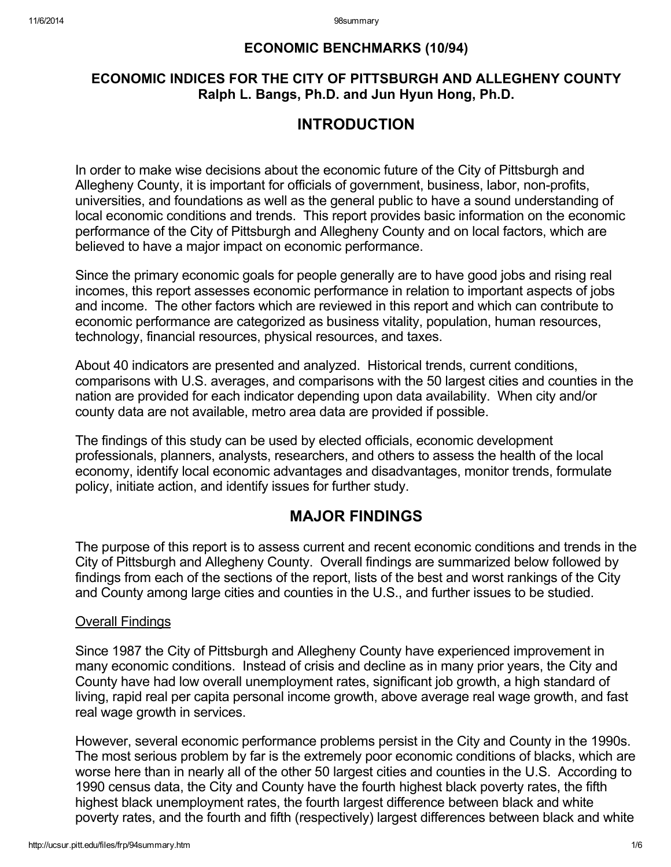## ECONOMIC BENCHMARKS (10/94)

## ECONOMIC INDICES FOR THE CITY OF PITTSBURGH AND ALLEGHENY COUNTY Ralph L. Bangs, Ph.D. and Jun Hyun Hong, Ph.D.

# INTRODUCTION

In order to make wise decisions about the economic future of the City of Pittsburgh and Allegheny County, it is important for officials of government, business, labor, non-profits, universities, and foundations as well as the general public to have a sound understanding of local economic conditions and trends. This report provides basic information on the economic performance of the City of Pittsburgh and Allegheny County and on local factors, which are believed to have a major impact on economic performance.

Since the primary economic goals for people generally are to have good jobs and rising real incomes, this report assesses economic performance in relation to important aspects of jobs and income. The other factors which are reviewed in this report and which can contribute to economic performance are categorized as business vitality, population, human resources, technology, financial resources, physical resources, and taxes.

About 40 indicators are presented and analyzed. Historical trends, current conditions, comparisons with U.S. averages, and comparisons with the 50 largest cities and counties in the nation are provided for each indicator depending upon data availability. When city and/or county data are not available, metro area data are provided if possible.

The findings of this study can be used by elected officials, economic development professionals, planners, analysts, researchers, and others to assess the health of the local economy, identify local economic advantages and disadvantages, monitor trends, formulate policy, initiate action, and identify issues for further study.

# MAJOR FINDINGS

The purpose of this report is to assess current and recent economic conditions and trends in the City of Pittsburgh and Allegheny County. Overall findings are summarized below followed by findings from each of the sections of the report, lists of the best and worst rankings of the City and County among large cities and counties in the U.S., and further issues to be studied.

## Overall Findings

Since 1987 the City of Pittsburgh and Allegheny County have experienced improvement in many economic conditions. Instead of crisis and decline as in many prior years, the City and County have had low overall unemployment rates, significant job growth, a high standard of living, rapid real per capita personal income growth, above average real wage growth, and fast real wage growth in services.

However, several economic performance problems persist in the City and County in the 1990s. The most serious problem by far is the extremely poor economic conditions of blacks, which are worse here than in nearly all of the other 50 largest cities and counties in the U.S. According to 1990 census data, the City and County have the fourth highest black poverty rates, the fifth highest black unemployment rates, the fourth largest difference between black and white poverty rates, and the fourth and fifth (respectively) largest differences between black and white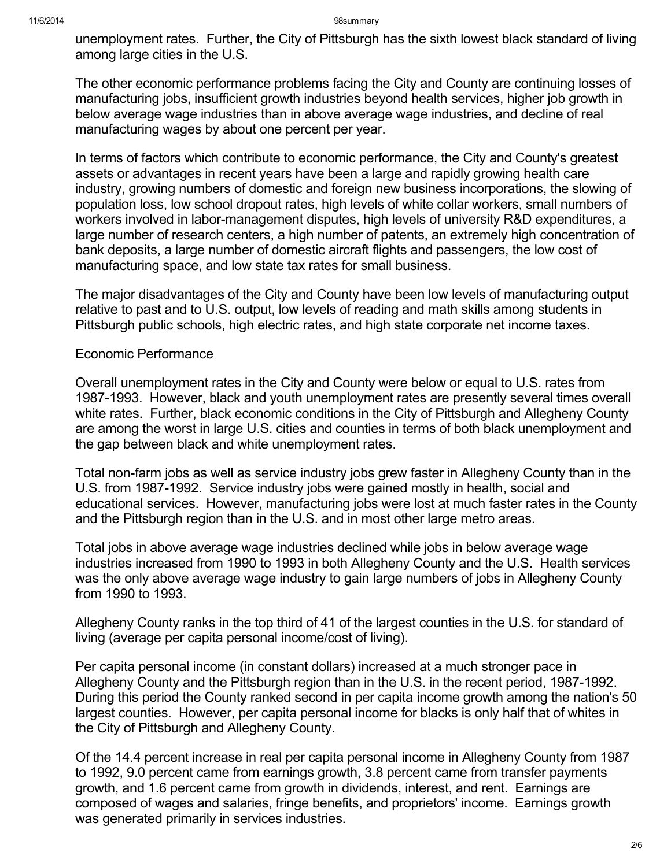unemployment rates. Further, the City of Pittsburgh has the sixth lowest black standard of living among large cities in the U.S.

The other economic performance problems facing the City and County are continuing losses of manufacturing jobs, insufficient growth industries beyond health services, higher job growth in below average wage industries than in above average wage industries, and decline of real manufacturing wages by about one percent per year.

In terms of factors which contribute to economic performance, the City and County's greatest assets or advantages in recent years have been a large and rapidly growing health care industry, growing numbers of domestic and foreign new business incorporations, the slowing of population loss, low school dropout rates, high levels of white collar workers, small numbers of workers involved in labor-management disputes, high levels of university R&D expenditures, a large number of research centers, a high number of patents, an extremely high concentration of bank deposits, a large number of domestic aircraft flights and passengers, the low cost of manufacturing space, and low state tax rates for small business.

The major disadvantages of the City and County have been low levels of manufacturing output relative to past and to U.S. output, low levels of reading and math skills among students in Pittsburgh public schools, high electric rates, and high state corporate net income taxes.

## Economic Performance

Overall unemployment rates in the City and County were below or equal to U.S. rates from 1987-1993. However, black and youth unemployment rates are presently several times overall white rates. Further, black economic conditions in the City of Pittsburgh and Allegheny County are among the worst in large U.S. cities and counties in terms of both black unemployment and the gap between black and white unemployment rates.

Total non-farm jobs as well as service industry jobs grew faster in Allegheny County than in the U.S. from 1987-1992. Service industry jobs were gained mostly in health, social and educational services. However, manufacturing jobs were lost at much faster rates in the County and the Pittsburgh region than in the U.S. and in most other large metro areas.

Total jobs in above average wage industries declined while jobs in below average wage industries increased from 1990 to 1993 in both Allegheny County and the U.S. Health services was the only above average wage industry to gain large numbers of jobs in Allegheny County from 1990 to 1993.

Allegheny County ranks in the top third of 41 of the largest counties in the U.S. for standard of living (average per capita personal income/cost of living).

Per capita personal income (in constant dollars) increased at a much stronger pace in Allegheny County and the Pittsburgh region than in the U.S. in the recent period, 1987-1992. During this period the County ranked second in per capita income growth among the nation's 50 largest counties. However, per capita personal income for blacks is only half that of whites in the City of Pittsburgh and Allegheny County.

Of the 14.4 percent increase in real per capita personal income in Allegheny County from 1987 to 1992, 9.0 percent came from earnings growth, 3.8 percent came from transfer payments growth, and 1.6 percent came from growth in dividends, interest, and rent. Earnings are composed of wages and salaries, fringe benefits, and proprietors' income. Earnings growth was generated primarily in services industries.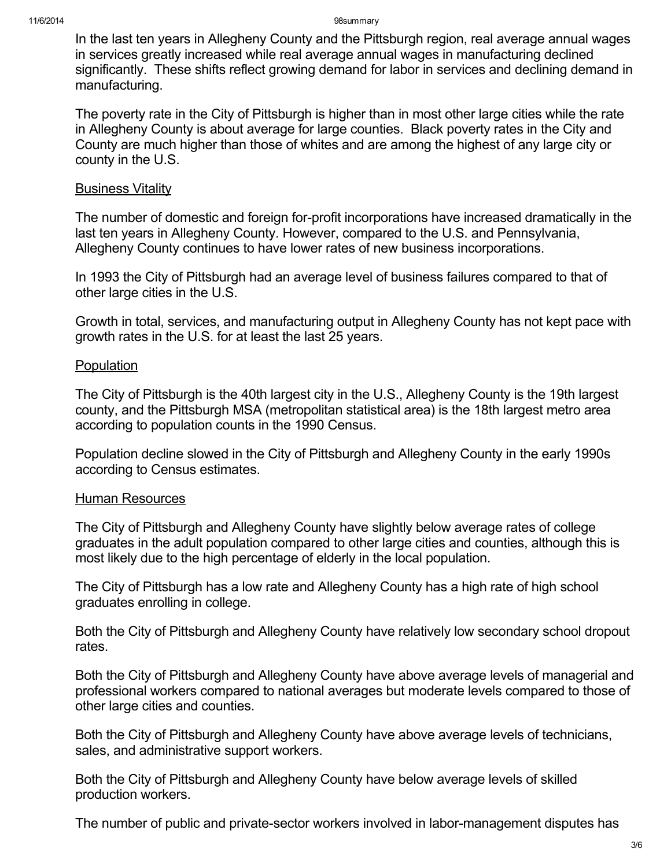#### 11/6/2014 98summary

In the last ten years in Allegheny County and the Pittsburgh region, real average annual wages in services greatly increased while real average annual wages in manufacturing declined significantly. These shifts reflect growing demand for labor in services and declining demand in manufacturing.

The poverty rate in the City of Pittsburgh is higher than in most other large cities while the rate in Allegheny County is about average for large counties. Black poverty rates in the City and County are much higher than those of whites and are among the highest of any large city or county in the U.S.

## **Business Vitality**

The number of domestic and foreign for-profit incorporations have increased dramatically in the last ten years in Allegheny County. However, compared to the U.S. and Pennsylvania, Allegheny County continues to have lower rates of new business incorporations.

In 1993 the City of Pittsburgh had an average level of business failures compared to that of other large cities in the U.S.

Growth in total, services, and manufacturing output in Allegheny County has not kept pace with growth rates in the U.S. for at least the last 25 years.

## Population

The City of Pittsburgh is the 40th largest city in the U.S., Allegheny County is the 19th largest county, and the Pittsburgh MSA (metropolitan statistical area) is the 18th largest metro area according to population counts in the 1990 Census.

Population decline slowed in the City of Pittsburgh and Allegheny County in the early 1990s according to Census estimates.

## Human Resources

The City of Pittsburgh and Allegheny County have slightly below average rates of college graduates in the adult population compared to other large cities and counties, although this is most likely due to the high percentage of elderly in the local population.

The City of Pittsburgh has a low rate and Allegheny County has a high rate of high school graduates enrolling in college.

Both the City of Pittsburgh and Allegheny County have relatively low secondary school dropout rates.

Both the City of Pittsburgh and Allegheny County have above average levels of managerial and professional workers compared to national averages but moderate levels compared to those of other large cities and counties.

Both the City of Pittsburgh and Allegheny County have above average levels of technicians, sales, and administrative support workers.

Both the City of Pittsburgh and Allegheny County have below average levels of skilled production workers.

The number of public and private-sector workers involved in labor-management disputes has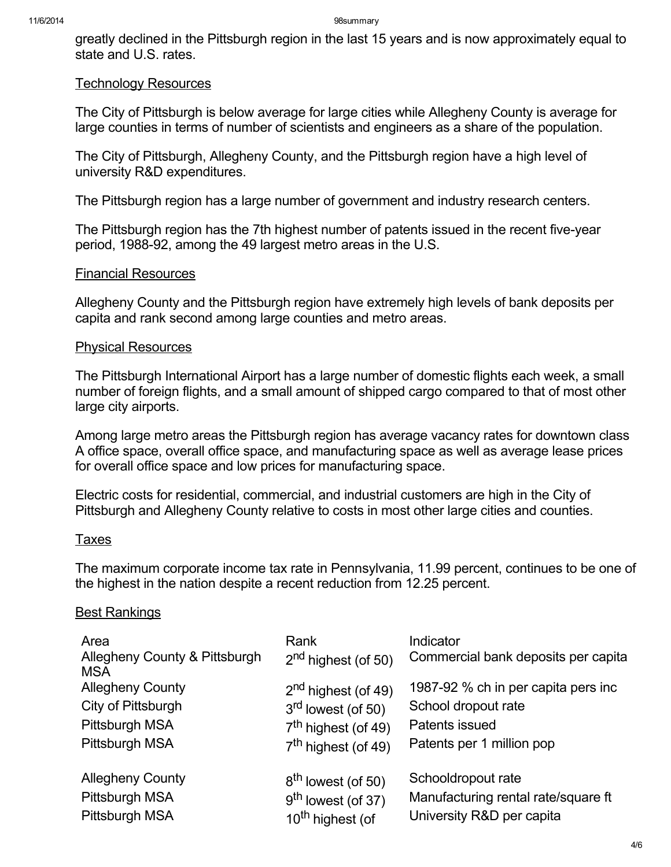greatly declined in the Pittsburgh region in the last 15 years and is now approximately equal to state and U.S. rates.

#### Technology Resources

The City of Pittsburgh is below average for large cities while Allegheny County is average for large counties in terms of number of scientists and engineers as a share of the population.

The City of Pittsburgh, Allegheny County, and the Pittsburgh region have a high level of university R&D expenditures.

The Pittsburgh region has a large number of government and industry research centers.

The Pittsburgh region has the 7th highest number of patents issued in the recent five-year period, 1988-92, among the 49 largest metro areas in the U.S.

#### Financial Resources

Allegheny County and the Pittsburgh region have extremely high levels of bank deposits per capita and rank second among large counties and metro areas.

## Physical Resources

The Pittsburgh International Airport has a large number of domestic flights each week, a small number of foreign flights, and a small amount of shipped cargo compared to that of most other large city airports.

Among large metro areas the Pittsburgh region has average vacancy rates for downtown class A office space, overall office space, and manufacturing space as well as average lease prices for overall office space and low prices for manufacturing space.

Electric costs for residential, commercial, and industrial customers are high in the City of Pittsburgh and Allegheny County relative to costs in most other large cities and counties.

## Taxes

The maximum corporate income tax rate in Pennsylvania, 11.99 percent, continues to be one of the highest in the nation despite a recent reduction from 12.25 percent.

## **Best Rankings**

| Area<br>Allegheny County & Pittsburgh<br><b>MSA</b> | Rank<br>$2nd$ highest (of 50)   | Indicator<br>Commercial bank deposits per capita |
|-----------------------------------------------------|---------------------------------|--------------------------------------------------|
| <b>Allegheny County</b>                             | 2 <sup>nd</sup> highest (of 49) | 1987-92 % ch in per capita pers inc              |
| City of Pittsburgh                                  | 3 <sup>rd</sup> lowest (of 50)  | School dropout rate                              |
| Pittsburgh MSA                                      | 7 <sup>th</sup> highest (of 49) | Patents issued                                   |
| Pittsburgh MSA                                      | 7 <sup>th</sup> highest (of 49) | Patents per 1 million pop                        |
| <b>Allegheny County</b>                             | 8 <sup>th</sup> lowest (of 50)  | Schooldropout rate                               |
| Pittsburgh MSA                                      | $9th$ lowest (of 37)            | Manufacturing rental rate/square ft              |
| Pittsburgh MSA                                      | 10 <sup>th</sup> highest (of    | University R&D per capita                        |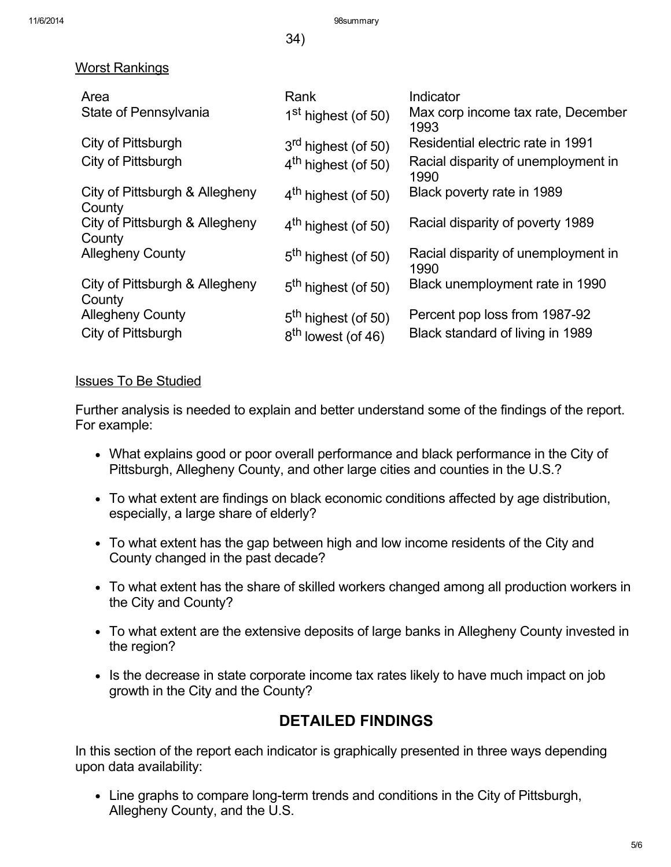11/6/2014 98summary

34)

## Worst Rankings

| Area                                     | Rank                            | Indicator                                   |
|------------------------------------------|---------------------------------|---------------------------------------------|
| State of Pennsylvania                    | 1 <sup>st</sup> highest (of 50) | Max corp income tax rate, December<br>1993  |
| City of Pittsburgh                       | $3rd$ highest (of 50)           | Residential electric rate in 1991           |
| City of Pittsburgh                       | $4th$ highest (of 50)           | Racial disparity of unemployment in<br>1990 |
| City of Pittsburgh & Allegheny<br>County | $4th$ highest (of 50)           | Black poverty rate in 1989                  |
| City of Pittsburgh & Allegheny<br>County | $4th$ highest (of 50)           | Racial disparity of poverty 1989            |
| <b>Allegheny County</b>                  | 5 <sup>th</sup> highest (of 50) | Racial disparity of unemployment in<br>1990 |
| City of Pittsburgh & Allegheny<br>County | $5th$ highest (of 50)           | Black unemployment rate in 1990             |
| <b>Allegheny County</b>                  | 5 <sup>th</sup> highest (of 50) | Percent pop loss from 1987-92               |
| City of Pittsburgh                       | 8 <sup>th</sup> lowest (of 46)  | Black standard of living in 1989            |

## Issues To Be Studied

Further analysis is needed to explain and better understand some of the findings of the report. For example:

- What explains good or poor overall performance and black performance in the City of Pittsburgh, Allegheny County, and other large cities and counties in the U.S.?
- To what extent are findings on black economic conditions affected by age distribution, especially, a large share of elderly?
- To what extent has the gap between high and low income residents of the City and County changed in the past decade?
- To what extent has the share of skilled workers changed among all production workers in the City and County?
- To what extent are the extensive deposits of large banks in Allegheny County invested in the region?
- Is the decrease in state corporate income tax rates likely to have much impact on job growth in the City and the County?

# DETAILED FINDINGS

In this section of the report each indicator is graphically presented in three ways depending upon data availability:

Line graphs to compare long-term trends and conditions in the City of Pittsburgh, Allegheny County, and the U.S.